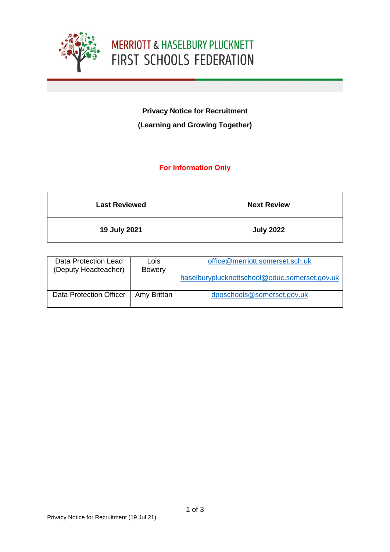

# **MERRIOTT & HASELBURY PLUCKNETT** FIRST SCHOOLS FEDERATION

## **Privacy Notice for Recruitment (Learning and Growing Together)**

### **For Information Only**

| <b>Last Reviewed</b> | <b>Next Review</b> |
|----------------------|--------------------|
| 19 July 2021         | <b>July 2022</b>   |

| Data Protection Lead<br>(Deputy Headteacher) | Lois<br><b>Bowery</b> | office@merriott.somerset.sch.uk               |
|----------------------------------------------|-----------------------|-----------------------------------------------|
|                                              |                       | haselburyplucknettschool@educ.somerset.gov.uk |
| <b>Data Protection Officer</b>               | Amy Brittan           | dposchools@somerset.gov.uk                    |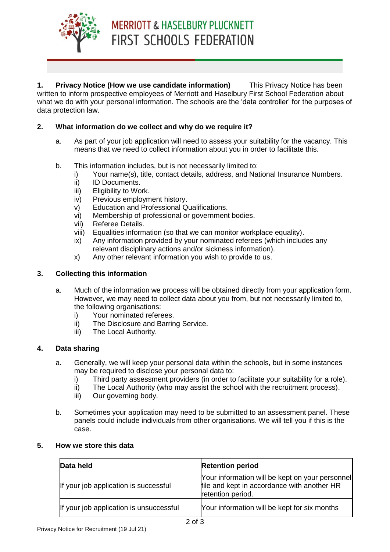

**1. Privacy Notice (How we use candidate information)** This Privacy Notice has been written to inform prospective employees of Merriott and Haselbury First School Federation about what we do with your personal information. The schools are the 'data controller' for the purposes of data protection law.

#### **2. What information do we collect and why do we require it?**

- a. As part of your job application will need to assess your suitability for the vacancy. This means that we need to collect information about you in order to facilitate this.
- b. This information includes, but is not necessarily limited to:
	- i) Your name(s), title, contact details, address, and National Insurance Numbers.
	- ii) ID Documents.
	- iii) Eligibility to Work.
	- iv) Previous employment history.
	- v) Education and Professional Qualifications.
	- vi) Membership of professional or government bodies.
	- vii) Referee Details.
	- viii) Equalities information (so that we can monitor workplace equality).
	- ix) Any information provided by your nominated referees (which includes any relevant disciplinary actions and/or sickness information).
	- x) Any other relevant information you wish to provide to us.

#### **3. Collecting this information**

- a. Much of the information we process will be obtained directly from your application form. However, we may need to collect data about you from, but not necessarily limited to, the following organisations:
	- i) Your nominated referees.
	- ii) The Disclosure and Barring Service.
	- iii) The Local Authority.

#### **4. Data sharing**

- a. Generally, we will keep your personal data within the schools, but in some instances may be required to disclose your personal data to:
	- i) Third party assessment providers (in order to facilitate your suitability for a role).
	- ii) The Local Authority (who may assist the school with the recruitment process).
	- iii) Our governing body.
- b. Sometimes your application may need to be submitted to an assessment panel. These panels could include individuals from other organisations. We will tell you if this is the case.

#### **5. How we store this data**

| Data held                               | <b>Retention period</b>                                                                                               |
|-----------------------------------------|-----------------------------------------------------------------------------------------------------------------------|
| If your job application is successful   | [Your information will be kept on your personnel]<br>file and kept in accordance with another HR<br>retention period. |
| If your job application is unsuccessful | Your information will be kept for six months                                                                          |